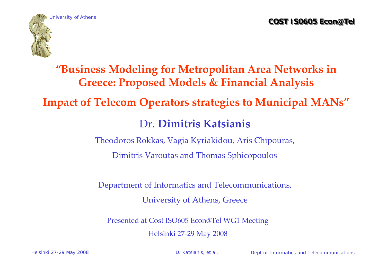

## **"Business Modeling for Metropolitan Area Networks in Greece: Proposed Models & Financial Analysis**

#### **Impact of Telecom Operators strategies to Municipal MANs"**

### Dr. **Dimitris Katsianis**

Theodoros Rokkas, Vagia Kyriakidou, Aris Chipouras,

Dimitris Varoutas and Thomas Sphicopoulos

Department of Informatics and Telecommunications,

University of Athens, Greece

Presented at Cost ISO605 Econ@Tel WG1 Meeting

Helsinki 27 ‐29 May 2008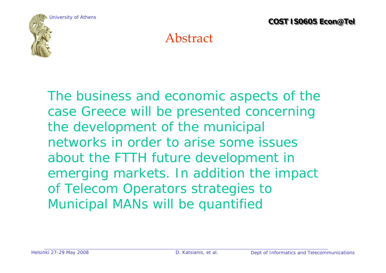

## Abstract

The business and economic aspects of the case Greece will be presented concerning the development of the municipal networks in order to arise some issues about the FTTH future development in emerging markets. In addition the impact of Telecom Operators strategies to Municipal MANs will be quantified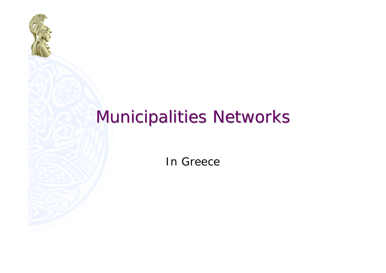

# **Municipalities Networks**

In Greece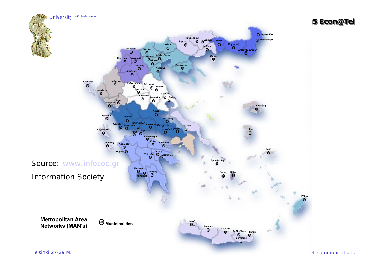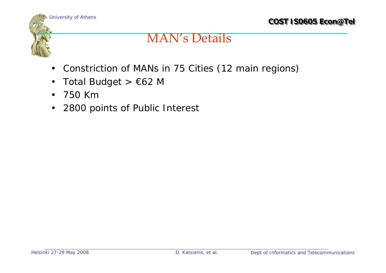

### MAN's Details

- $\bullet$ Constriction of MANs in 75 Cities (12 main regions)
- $\bullet$ Total Budget >  $\epsilon$ 62 M
- $\bullet$ 750 Km
- $\bullet$ 2800 points of Public Interest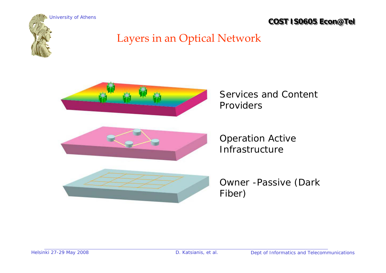

## Layers in an Optical Network



Services and Content Providers

Operation Active Infrastructure



Owner -Passive (Dark Fiber)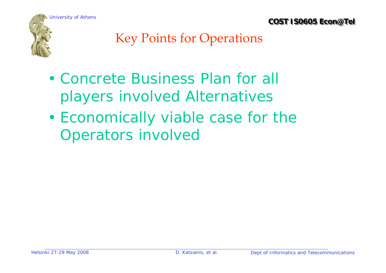

## Key Points for Operations

- Concrete Business Plan for all players involved Alternatives
- • Economically viable case for the Operators involved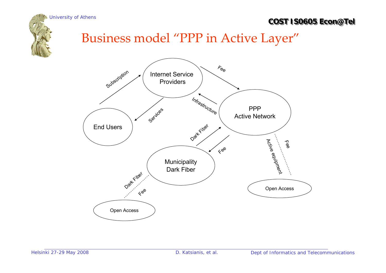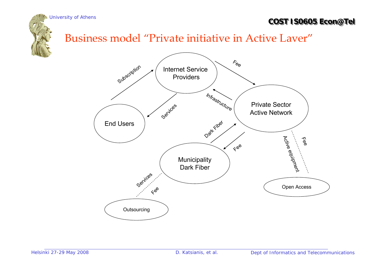

#### Business model "Private initiative in Active Layer"

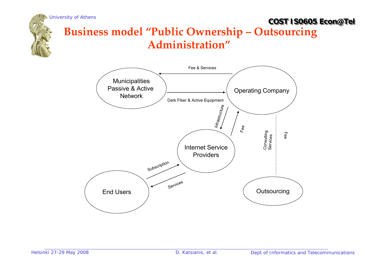

#### **COST IS0605 Econ@Tel COST IS0605 Econ@Tel** University of Athens **Business model "Public Ownership – Outsourcing Administration"**

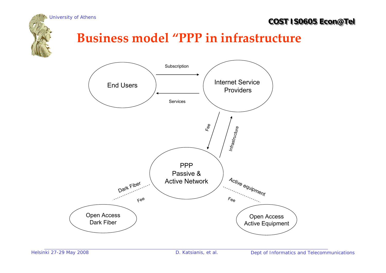



## **Business model "PPP in infrastructure**

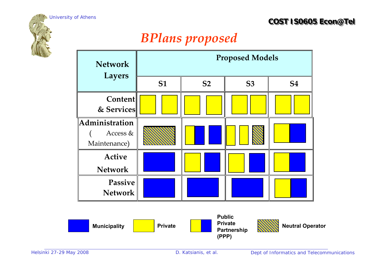

## *BPlans proposed*

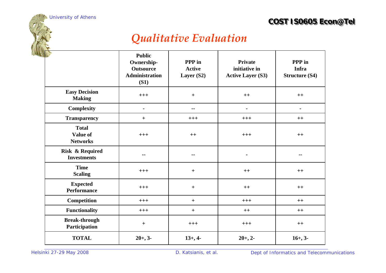#### *Qualitative Evaluation*

|                                                  | <b>Public</b><br>Ownership-<br><b>Outsource</b><br>Administration<br>(S1) | PPP in<br><b>Active</b><br>Layer (S2) | <b>Private</b><br>initiative in<br><b>Active Layer (S3)</b> | PPP in<br>Infra<br><b>Structure (S4)</b> |
|--------------------------------------------------|---------------------------------------------------------------------------|---------------------------------------|-------------------------------------------------------------|------------------------------------------|
| <b>Easy Decision</b><br><b>Making</b>            | $+++$                                                                     | $+$                                   | $++$                                                        | $++$                                     |
| <b>Complexity</b>                                | $\blacksquare$                                                            | $\blacksquare$<br>--                  |                                                             | $\blacksquare$                           |
| <b>Transparency</b>                              | $+$                                                                       | $+++$                                 | $+++$                                                       | $++$                                     |
| <b>Total</b><br>Value of<br><b>Networks</b>      | $+++$                                                                     | $++$                                  | $+++$                                                       | $++$                                     |
| <b>Risk &amp; Required</b><br><b>Investments</b> | --                                                                        |                                       |                                                             | --                                       |
| <b>Time</b><br><b>Scaling</b>                    | $+++$                                                                     | $+$                                   | $++$                                                        | $++$                                     |
| <b>Expected</b><br><b>Performance</b>            | $+++$                                                                     | $+$                                   | $++$                                                        | $++$                                     |
| Competition                                      | $+++$                                                                     | $+$                                   | $+++$                                                       | $++$                                     |
| <b>Functionality</b>                             | $+++$                                                                     | $+$                                   | $++$                                                        | $++$                                     |
| <b>Break-through</b><br>Participation            | $+$                                                                       | $+++$                                 | $+++$                                                       | $++$                                     |
| <b>TOTAL</b>                                     | $20+, 3-$                                                                 | $13+, 4-$                             | $20+, 2-$                                                   | $16+, 3-$                                |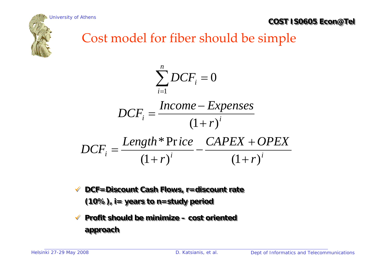



## Cost model for fiber should be simple

$$
\sum_{i=1}^{n} DCF_i = 0
$$
  
DCF<sub>i</sub> = 
$$
\frac{Income - Expenses}{(1+r)^i}
$$
  
DCF<sub>i</sub> = 
$$
\frac{Length * Price}{(1+r)^i} - \frac{CAPEX + OPEX}{(1+r)^i}
$$

- $\checkmark$  **DCF=Discount Cash Flows, r=discount rate DCF=Discount Cash Flows, r=discount rate (10%), i= years to n=study period (10%), i= years to n=study period**
- $\checkmark$  **Profit should be minimize – cost oriented Profit should be minimize – cost oriented approach approach**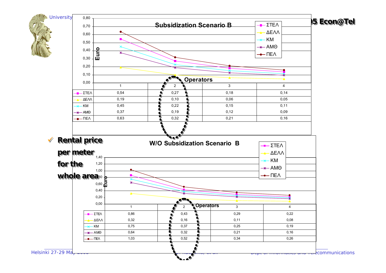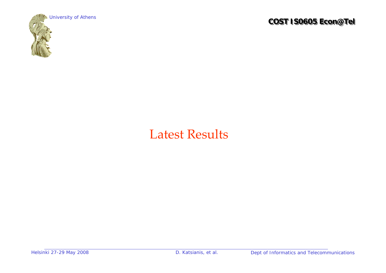

## Latest Results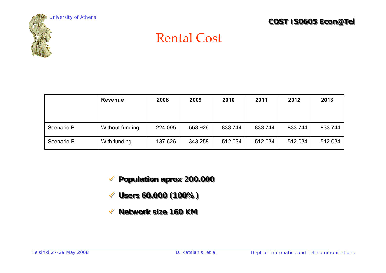

## Rental Cost

|            | <b>Revenue</b>  | 2008    | 2009    | 2010    | 2011    | 2012    | 2013    |
|------------|-----------------|---------|---------|---------|---------|---------|---------|
|            |                 |         |         |         |         |         |         |
|            |                 |         |         |         |         |         |         |
| Scenario B | Without funding | 224.095 | 558.926 | 833.744 | 833.744 | 833.744 | 833.744 |
| Scenario B | With funding    | 137.626 | 343.258 | 512.034 | 512.034 | 512.034 | 512.034 |

9 **Population aprox 200.000** 9 **Population aprox 200.000**

- 9 **Users 60.000 (100%)** 9 **Users 60.000 (100%)**
- $\checkmark$ **Network size 160 KM Network size 160 KM**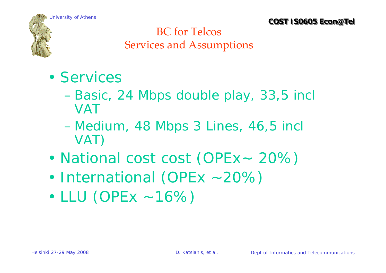

#### BC for Telcos Services and Assumptions

- Services
	- Basic, 24 Mbps double play, 33,5 incl VAT
	- Medium, 48 Mbps 3 Lines, 46,5 incl VAT)
- •National cost cost (OPEx~ 20%)
- •International (OPEx ~20%)
- •LLU (OPEx ~16%)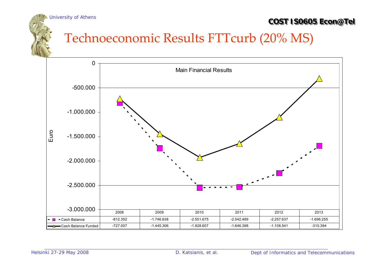## Technoeconomic Results FTTcurb (20% MS)

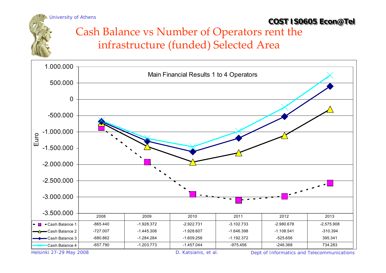## Cash Balance vs Number of Operators rent the infrastructure (funded) Selected Area



Helsinki 27-29 May 2008 D. Katsianis, et al. Dept of Informatics and Telecommunications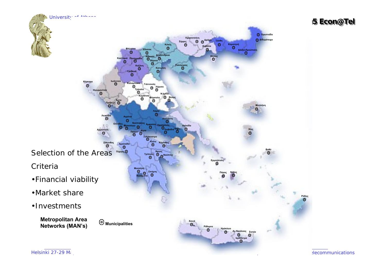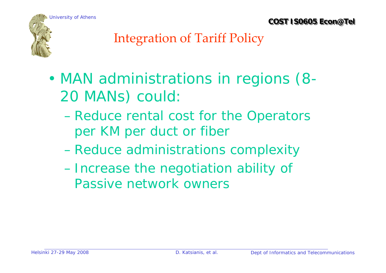



## Integration of Tariff Policy

- • MAN administrations in regions (8- 20 MANs) could:
	- Reduce rental cost for the Operators per KM per duct or fiber
	- Reduce administrations complexity
	- Increase the negotiation ability of Passive network owners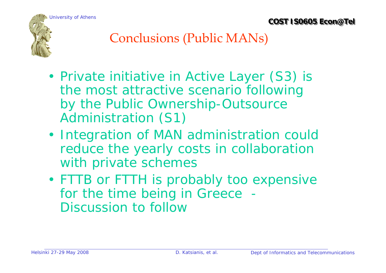



## Conclusions (Public MANs)

- • Private initiative in Active Layer (S3) is the most attractive scenario following by the Public Ownership-Outsource Administration (S1)
- Integration of MAN administration could reduce the yearly costs in collaboration with private schemes
- FTTB or FTTH is probably too expensive for the time being in Greece - Discussion to follow